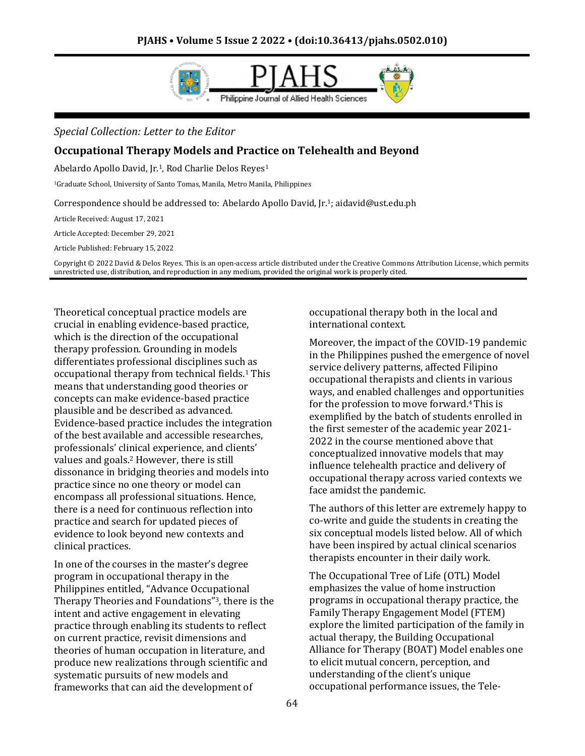

*Special Collection: Letter to the Editor*

## **Occupational Therapy Models and Practice on Telehealth and Beyond**

Abelardo Apollo David, Jr.1, Rod Charlie Delos Reyes<sup>1</sup>

<sup>1</sup>Graduate School, University of Santo Tomas, Manila, Metro Manila, Philippines

Correspondence should be addressed to: Abelardo Apollo David, Jr.1; aidavid@ust.edu.ph

Article Received: August 17, 2021

Article Accepted: December 29, 2021

Article Published: February 15, 2022

Copyright © 2022 David & Delos Reyes. This is an open-access article distributed under the Creative Commons Attribution License, which permits unrestricted use, distribution, and reproduction in any medium, provided the original work is properly cited.

Theoretical conceptual practice models are crucial in enabling evidence-based practice, which is the direction of the occupational therapy profession. Grounding in models differentiates professional disciplines such as occupational therapy from technical fields.<sup>1</sup> This means that understanding good theories or concepts can make evidence-based practice plausible and be described as advanced. Evidence-based practice includes the integration of the best available and accessible researches, professionals' clinical experience, and clients' values and goals.<sup>2</sup> However, there is still dissonance in bridging theories and models into practice since no one theory or model can encompass all professional situations. Hence, there is a need for continuous reflection into practice and search for updated pieces of evidence to look beyond new contexts and clinical practices.

In one of the courses in the master's degree program in occupational therapy in the Philippines entitled, "Advance Occupational Therapy Theories and Foundations"3, there is the intent and active engagement in elevating practice through enabling its students to reflect on current practice, revisit dimensions and theories of human occupation in literature, and produce new realizations through scientific and systematic pursuits of new models and frameworks that can aid the development of

occupational therapy both in the local and international context.

Moreover, the impact of the COVID-19 pandemic in the Philippines pushed the emergence of novel service delivery patterns, affected Filipino occupational therapists and clients in various ways, and enabled challenges and opportunities for the profession to move forward.4 This is exemplified by the batch of students enrolled in the first semester of the academic year 2021- 2022 in the course mentioned above that conceptualized innovative models that may influence telehealth practice and delivery of occupational therapy across varied contexts we face amidst the pandemic.

The authors of this letter are extremely happy to co-write and guide the students in creating the six conceptual models listed below. All of which have been inspired by actual clinical scenarios therapists encounter in their daily work.

The Occupational Tree of Life (OTL) Model emphasizes the value of home instruction programs in occupational therapy practice, the Family Therapy Engagement Model (FTEM) explore the limited participation of the family in actual therapy, the Building Occupational Alliance for Therapy (BOAT) Model enables one to elicit mutual concern, perception, and understanding of the client's unique occupational performance issues, the Tele